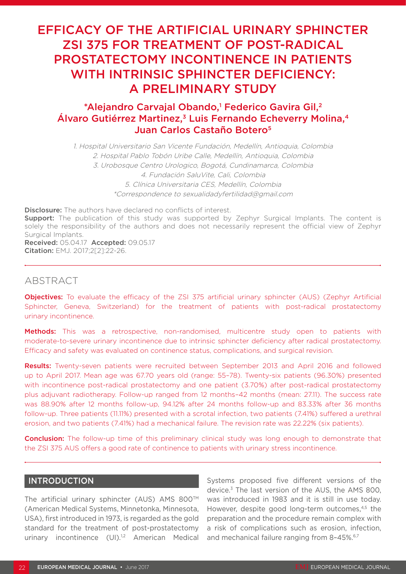# EFFICACY OF THE ARTIFICIAL URINARY SPHINCTER ZSI 375 FOR TREATMENT OF POST-RADICAL PROSTATECTOMY INCONTINENCE IN PATIENTS WITH INTRINSIC SPHINCTER DEFICIENCY: A PRELIMINARY STUDY

# \*Alejandro Carvajal Obando,<sup>1</sup> Federico Gavira Gil,<sup>2</sup> Álvaro Gutiérrez Martinez,<sup>3</sup> Luis Fernando Echeverry Molina,<sup>4</sup> Juan Carlos Castaño Botero<sup>5</sup>

1. Hospital Universitario San Vicente Fundación, Medellín, Antioquia, Colombia 2. Hospital Pablo Tobón Uribe Calle, Medellín, Antioquia, Colombia 3. Urobosque Centro Urologico, Bogotá, Cundinamarca, Colombia 4. Fundación SaluVite, Cali, Colombia 5. Clínica Universitaria CES, Medellín, Colombia \*Correspondence to sexualidadyfertilidad@gmail.com

**Disclosure:** The authors have declared no conflicts of interest.

**Support:** The publication of this study was supported by Zephyr Surgical Implants. The content is solely the responsibility of the authors and does not necessarily represent the official view of Zephyr Surgical Implants.

Received: 05.04.17 Accepted: 09.05.17 Citation: EMJ. 2017;2[2]:22-26.

# ABSTRACT

Objectives: To evaluate the efficacy of the ZSI 375 artificial urinary sphincter (AUS) (Zephyr Artificial Sphincter, Geneva, Switzerland) for the treatment of patients with post-radical prostatectomy urinary incontinence.

Methods: This was a retrospective, non-randomised, multicentre study open to patients with moderate-to-severe urinary incontinence due to intrinsic sphincter deficiency after radical prostatectomy. Efficacy and safety was evaluated on continence status, complications, and surgical revision.

Results: Twenty-seven patients were recruited between September 2013 and April 2016 and followed up to April 2017. Mean age was 67.70 years old (range: 55–78). Twenty-six patients (96.30%) presented with incontinence post-radical prostatectomy and one patient (3.70%) after post-radical prostatectomy plus adjuvant radiotherapy. Follow-up ranged from 12 months–42 months (mean: 27.11). The success rate was 88.90% after 12 months follow-up, 94.12% after 24 months follow-up and 83.33% after 36 months follow-up. Three patients (11.11%) presented with a scrotal infection, two patients (7.41%) sufered a urethral erosion, and two patients (7.41%) had a mechanical failure. The revision rate was 22.22% (six patients).

**Conclusion:** The follow-up time of this preliminary clinical study was long enough to demonstrate that the ZSI 375 AUS ofers a good rate of continence to patients with urinary stress incontinence.

# INTRODUCTION

The artificial urinary sphincter (AUS) AMS 800 $TM$ (American Medical Systems, Minnetonka, Minnesota, USA), first introduced in 1973, is regarded as the gold standard for the treatment of post-prostatectomy urinary incontinence (UI).<sup>1,2</sup> American Medical

Systems proposed five diferent versions of the device.3 The last version of the AUS, the AMS 800, was introduced in 1983 and it is still in use today. However, despite good long-term outcomes,<sup>4,5</sup> the preparation and the procedure remain complex with a risk of complications such as erosion, infection, and mechanical failure ranging from 8-45%.<sup>6,7</sup>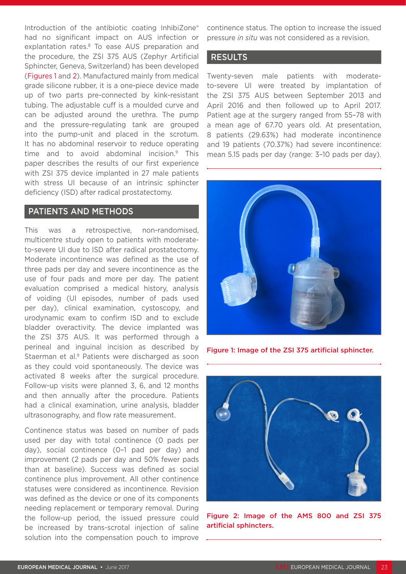Introduction of the antibiotic coating InhibiZone® had no significant impact on AUS infection or explantation rates.<sup>8</sup> To ease AUS preparation and the procedure, the ZSI 375 AUS (Zephyr Artificial Sphincter, Geneva, Switzerland) has been developed (Figures 1 and 2). Manufactured mainly from medical grade silicone rubber, it is a one-piece device made up of two parts pre-connected by kink-resistant tubing. The adjustable cuff is a moulded curve and can be adjusted around the urethra. The pump and the pressure-regulating tank are grouped into the pump-unit and placed in the scrotum. It has no abdominal reservoir to reduce operating time and to avoid abdominal incision.9 This paper describes the results of our first experience with ZSI 375 device implanted in 27 male patients with stress UI because of an intrinsic sphincter deficiency (ISD) after radical prostatectomy.

# PATIENTS AND METHODS

This was a retrospective, non-randomised, multicentre study open to patients with moderateto-severe UI due to ISD after radical prostatectomy. Moderate incontinence was defined as the use of three pads per day and severe incontinence as the use of four pads and more per day. The patient evaluation comprised a medical history, analysis of voiding (UI episodes, number of pads used per day), clinical examination, cystoscopy, and urodynamic exam to confirm ISD and to exclude bladder overactivity. The device implanted was the ZSI 375 AUS. It was performed through a perineal and inguinal incision as described by Staerman et al.<sup>9</sup> Patients were discharged as soon as they could void spontaneously. The device was activated 8 weeks after the surgical procedure. Follow-up visits were planned 3, 6, and 12 months and then annually after the procedure. Patients had a clinical examination, urine analysis, bladder ultrasonography, and flow rate measurement.

Continence status was based on number of pads used per day with total continence (0 pads per day), social continence (0–1 pad per day) and improvement (2 pads per day and 50% fewer pads than at baseline). Success was defined as social continence plus improvement. All other continence statuses were considered as incontinence. Revision was defined as the device or one of its components needing replacement or temporary removal. During the follow-up period, the issued pressure could be increased by trans-scrotal injection of saline solution into the compensation pouch to improve

continence status. The option to increase the issued pressure *in situ* was not considered as a revision.

# RESULTS

Twenty-seven male patients with moderateto-severe UI were treated by implantation of the ZSI 375 AUS between September 2013 and April 2016 and then followed up to April 2017. Patient age at the surgery ranged from 55–78 with a mean age of 67.70 years old. At presentation, 8 patients (29.63%) had moderate incontinence and 19 patients (70.37%) had severe incontinence: mean 5.15 pads per day (range: 3–10 pads per day).



Figure 1: Image of the ZSI 375 artificial sphincter.



Figure 2: Image of the AMS 800 and ZSI 375 artificial sphincters.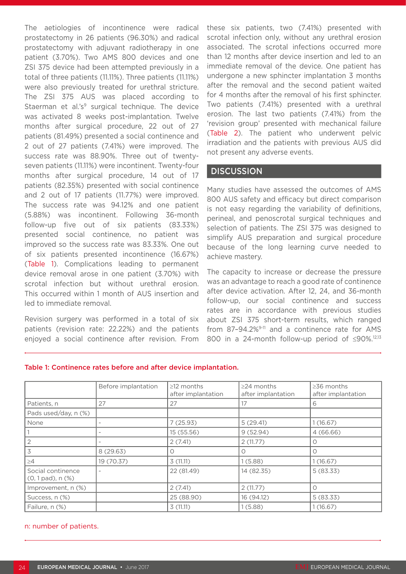The aetiologies of incontinence were radical prostatectomy in 26 patients (96.30%) and radical prostatectomy with adjuvant radiotherapy in one patient (3.70%). Two AMS 800 devices and one ZSI 375 device had been attempted previously in a total of three patients (11.11%). Three patients (11.11%) were also previously treated for urethral stricture. The ZSI 375 AUS was placed according to Staerman et al.'s $9$  surgical technique. The device was activated 8 weeks post-implantation. Twelve months after surgical procedure, 22 out of 27 patients (81.49%) presented a social continence and 2 out of 27 patients (7.41%) were improved. The success rate was 88.90%. Three out of twentyseven patients (11.11%) were incontinent. Twenty-four months after surgical procedure, 14 out of 17 patients (82.35%) presented with social continence and 2 out of 17 patients (11.77%) were improved. The success rate was 94.12% and one patient (5.88%) was incontinent. Following 36-month follow-up five out of six patients (83.33%) presented social continence, no patient was improved so the success rate was 83.33%. One out of six patients presented incontinence (16.67%) (Table 1). Complications leading to permanent device removal arose in one patient (3.70%) with scrotal infection but without urethral erosion. This occurred within 1 month of AUS insertion and led to immediate removal.

Revision surgery was performed in a total of six patients (revision rate: 22.22%) and the patients enjoyed a social continence after revision. From these six patients, two (7.41%) presented with scrotal infection only, without any urethral erosion associated. The scrotal infections occurred more than 12 months after device insertion and led to an immediate removal of the device. One patient has undergone a new sphincter implantation 3 months after the removal and the second patient waited for 4 months after the removal of his first sphincter. Two patients (7.41%) presented with a urethral erosion. The last two patients (7.41%) from the 'revision group' presented with mechanical failure (Table 2). The patient who underwent pelvic irradiation and the patients with previous AUS did not present any adverse events.

# **DISCUSSION**

Many studies have assessed the outcomes of AMS 800 AUS safety and efficacy but direct comparison is not easy regarding the variability of definitions, perineal, and penoscrotal surgical techniques and selection of patients. The ZSI 375 was designed to simplify AUS preparation and surgical procedure because of the long learning curve needed to achieve mastery.

The capacity to increase or decrease the pressure was an advantage to reach a good rate of continence after device activation. After 12, 24, and 36-month follow-up, our social continence and success rates are in accordance with previous studies about ZSI 375 short-term results, which ranged from 87-94.2%<sup>9-11</sup> and a continence rate for AMS 800 in a 24-month follow-up period of ≤90%.<sup>12,13</sup>

|                                             | Before implantation | $\geq$ 12 months<br>after implantation | $\geq$ 24 months<br>after implantation | $\geq$ 36 months<br>after implantation |
|---------------------------------------------|---------------------|----------------------------------------|----------------------------------------|----------------------------------------|
| Patients, n                                 | 27                  | 27                                     | 17                                     | 6                                      |
| Pads used/day, n (%)                        |                     |                                        |                                        |                                        |
| None                                        |                     | 7(25.93)                               | 5(29.41)                               | 1(16.67)                               |
|                                             |                     | 15 (55.56)                             | 9(52.94)                               | 4(66.66)                               |
|                                             |                     | 2(7.41)                                | 2(11.77)                               | Ο                                      |
|                                             | 8 (29.63)           |                                        | Ω                                      | Ω                                      |
| $\geq$ 4                                    | 19 (70.37)          | 3(11.11)                               | 1(5.88)                                | 1(16.67)                               |
| Social continence<br>$(0, 1$ pad), n $(\%)$ |                     | 22 (81.49)                             | 14 (82.35)                             | 5(83.33)                               |
| Improvement, n (%)                          |                     | 2(7.41)                                | 2(11.77)                               | Ω                                      |
| Success, n (%)                              |                     | 25 (88.90)                             | 16 (94.12)                             | 5(83.33)                               |
| Failure, n (%)                              |                     | 3(11.11)                               | 1(5.88)                                | 1(16.67)                               |

#### Table 1: Continence rates before and after device implantation.

### n: number of patients.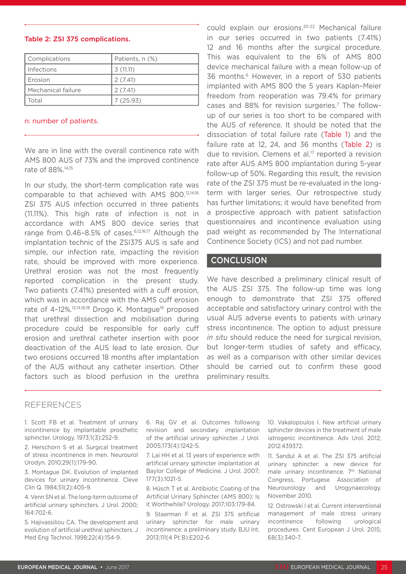#### ZSI 375 AUS infection occurred in three patients (11.11%). This high rate of infection is not in

rate of 88%.14,15

n: number of patients.

accordance with AMS 800 device series that range from 0.46–8.5% of cases.6,12,16,17 Although the implantation technic of the ZSI375 AUS is safe and simple, our infection rate, impacting the revision rate, should be improved with more experience. Urethral erosion was not the most frequently reported complication in the present study. Two patients (7.41%) presented with a cuff erosion, which was in accordance with the AMS cuff erosion rate of 4-12%.<sup>12,14,16,18</sup> Drogo K. Montague<sup>19</sup> proposed that urethral dissection and mobilisation during procedure could be responsible for early cuf erosion and urethral catheter insertion with poor deactivation of the AUS lead to late erosion. Our two erosions occurred 18 months after implantation of the AUS without any catheter insertion. Other factors such as blood perfusion in the urethra

#### We are in line with the overall continence rate with AMS 800 AUS of 73% and the improved continence In our study, the short-term complication rate was comparable to that achieved with AMS 800.12,14,16 12 and 16 months after the surgical procedure. This was equivalent to the 6% of AMS 800 device mechanical failure with a mean follow-up of 36 months.6 However, in a report of 530 patients implanted with AMS 800 the 5 years Kaplan–Meier freedom from reoperation was 79.4% for primary cases and 88% for revision surgeries.<sup>7</sup> The followup of our series is too short to be compared with the AUS of reference. It should be noted that the dissociation of total failure rate (Table 1) and the failure rate at 12, 24, and 36 months (Table 2) is due to revision. Clemens et al.<sup>17</sup> reported a revision rate after AUS AMS 800 implantation during 5-year follow-up of 50%. Regarding this result, the revision rate of the ZSI 375 must be re-evaluated in the longterm with larger series. Our retrospective study

has further limitations; it would have benefited from a prospective approach with patient satisfaction questionnaires and incontinence evaluation using pad weight as recommended by The International Continence Society (ICS) and not pad number.

could explain our erosions.20-22 Mechanical failure in our series occurred in two patients (7.41%)

### **CONCLUSION**

We have described a preliminary clinical result of the AUS ZSI 375. The follow-up time was long enough to demonstrate that ZSI 375 offered acceptable and satisfactory urinary control with the usual AUS adverse events to patients with urinary stress incontinence. The option to adjust pressure *in situ* should reduce the need for surgical revision, but longer-term studies of safety and efficacy. as well as a comparison with other similar devices should be carried out to confirm these good preliminary results.

## REFERENCES

1. Scott FB et al. Treatment of urinary incontinence by implantable prosthetic sphincter. Urology. 1973;1(3):252-9.

2. Herschorn S et al. Surgical treatment of stress incontinence in men. Neurourol Urodyn. 2010;29(1):179-90.

3. Montague DK. Evolution of implanted devices for urinary incontinence. Cleve Clin Q. 1984;51(2):405-9.

4. Venn SN et al. The long-term outcome of artificial urinary sphincters. J Urol. 2000; 164:702-6.

5. Hajivassiliou CA. The development and evolution of artificial urethral sphincters. J Med Eng Technol. 1998;22(4):154-9.

6. Raj GV et al. Outcomes following revision and secondary implantation of the artificial urinary sphincter. J Urol. 2005;173(4):1242-5.

7. Lai HH et al. 13 years of experience with artificial urinary sphincter implantation at Baylor College of Medicine. J Urol. 2007; 177(3):1021-5.

8. Hüsch T et al. Antibiotic Coating of the Artificial Urinary Sphincter (AMS 800): Is it Worthwhile? Urology. 2017;103:179-84.

9. Staerman F et al. ZSI 375 artificial urinary sphincter for male urinary incontinence: a preliminary study. BJU Int. 2013;111(4 Pt B):E202-6.

10. Vakalopoulos I. New artificial urinary sphincter devices in the treatment of male iatrogenic incontinence. Adv Urol. 2012; 2012:439372.

11. Sandul A et al. The ZSI 375 artificial urinary sphincter: a new device for male urinary incontinence. 7<sup>th</sup> National Congress, Portugese Association of Neurourology and Urogynaecology. November 2010.

12. Ostrowski I et al. Current interventional management of male stress urinary incontinence following urological procedures. Cent European J Urol. 2015; 68(3):340-7.

Table 2: ZSI 375 complications.

Complications Patients, n (%)

Infections  $\vert$  3 (11.11) Erosion  $\vert$  2 (7.41) Mechanical failure  $\vert$  2 (7.41) Total  $\big| 7 (25.93)$